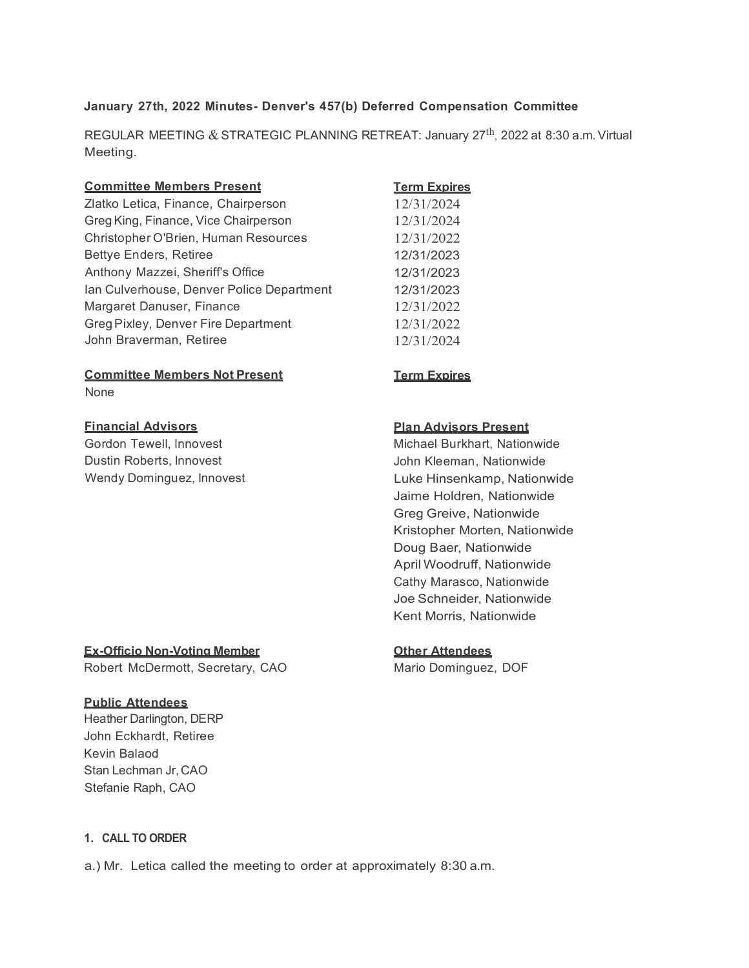## **January 27th, 2022 Minutes- Denver's 457(b) Deferred Compensation Committee**

REGULAR MEETING & STRATEGIC PLANNING RETREAT: January 27<sup>th</sup>, 2022 at 8:30 a.m. Virtual Meeting.

| <b>Committee Members Present</b>          | <b>Term Expires</b> |
|-------------------------------------------|---------------------|
| Zlatko Letica, Finance, Chairperson       | 12/31/2024          |
| Greg King, Finance, Vice Chairperson      | 12/31/2024          |
| Christopher O'Brien, Human Resources      | 12/31/2022          |
| Bettye Enders, Retiree                    | 12/31/2023          |
| Anthony Mazzei, Sheriff's Office          | 12/31/2023          |
| Ian Culverhouse, Denver Police Department | 12/31/2023          |
| Margaret Danuser, Finance                 | 12/31/2022          |
| Greg Pixley, Denver Fire Department       | 12/31/2022          |
| John Braverman, Retiree                   | 12/31/2024          |

#### **Committee Members Not Present** None

**Term Expires**

# **Financial Advisors**

Gordon Tewell, lnnovest Dustin Roberts, lnnovest Wendy Dominguez, lnnovest

## **Plan Advisors Present**

Michael Burkhart, Nationwide John Kleeman, Nationwide Luke Hinsenkamp, Nationwide Jaime Holdren, Nationwide Greg Greive, Nationwide Kristopher Morten, Nationwide Doug Baer, Nationwide April Woodruff, Nationwide Cathy Marasco, Nationwide Joe Schneider, Nationwide Kent Morris, Nationwide

# **Other Attendees**

Mario Dominguez, DOF

# **Ex-Officio Non-Voting Member** Robert McDermott, Secretary, CAO

## **Public Attendees**

Heather Darlington, DERP John Eckhardt, Retiree Kevin Balaod Stan Lechman Jr, CAO Stefanie Raph, CAO

## **1. CALL TO ORDER**

a.) Mr. Letica called the meeting to order at approximately 8:30 a.m.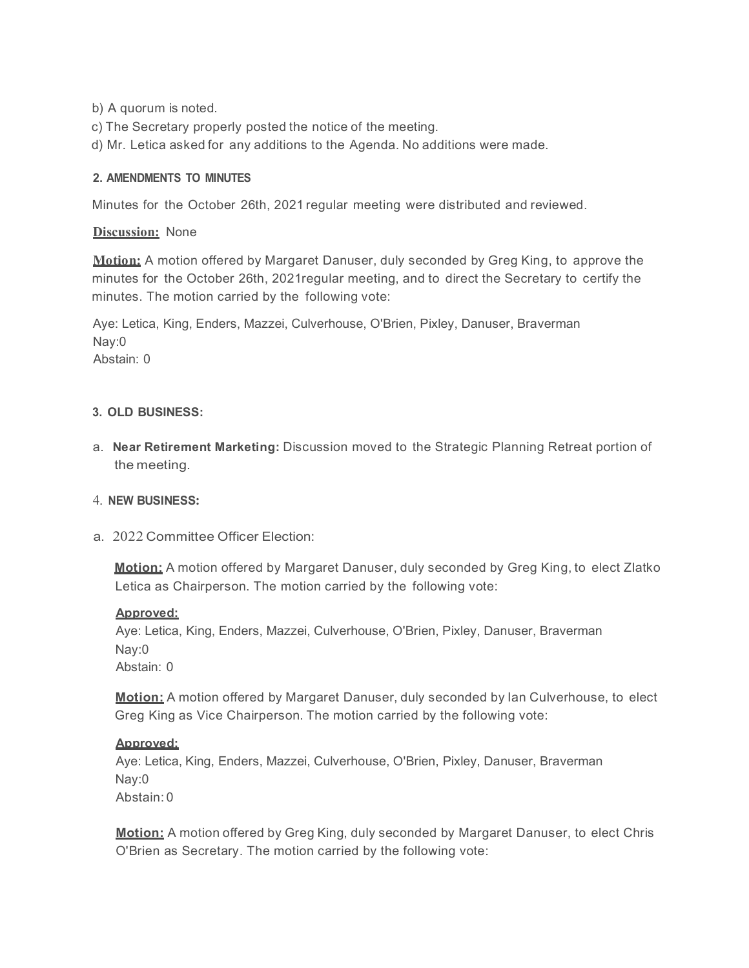b) A quorum is noted.

- c) The Secretary properly posted the notice of the meeting.
- d) Mr. Letica asked for any additions to the Agenda. No additions were made.

# **2. AMENDMENTS TO MINUTES**

Minutes for the October 26th, 2021 regular meeting were distributed and reviewed.

# **Discussion:** None

**Motion:** A motion offered by Margaret Danuser, duly seconded by Greg King, to approve the minutes for the October 26th, 2021regular meeting, and to direct the Secretary to certify the minutes. The motion carried by the following vote:

Aye: Letica, King, Enders, Mazzei, Culverhouse, O'Brien, Pixley, Danuser, Braverman Nay:0 Abstain: 0

## **3. OLD BUSINESS:**

a. **Near Retirement Marketing:** Discussion moved to the Strategic Planning Retreat portion of the meeting.

## 4. **NEW BUSINESS:**

a. 2022 Committee Officer Election:

**Motion:** A motion offered by Margaret Danuser, duly seconded by Greg King, to elect Zlatko Letica as Chairperson. The motion carried by the following vote:

## **Approved:**

Aye: Letica, King, Enders, Mazzei, Culverhouse, O'Brien, Pixley, Danuser, Braverman Nay:0 Abstain: 0

**Motion:** A motion offered by Margaret Danuser, duly seconded by Ian Culverhouse, to elect Greg King as Vice Chairperson. The motion carried by the following vote:

## **Approved:**

Aye: Letica, King, Enders, Mazzei, Culverhouse, O'Brien, Pixley, Danuser, Braverman Nay:0 Abstain: 0

**Motion:** A motion offered by Greg King, duly seconded by Margaret Danuser, to elect Chris O'Brien as Secretary. The motion carried by the following vote: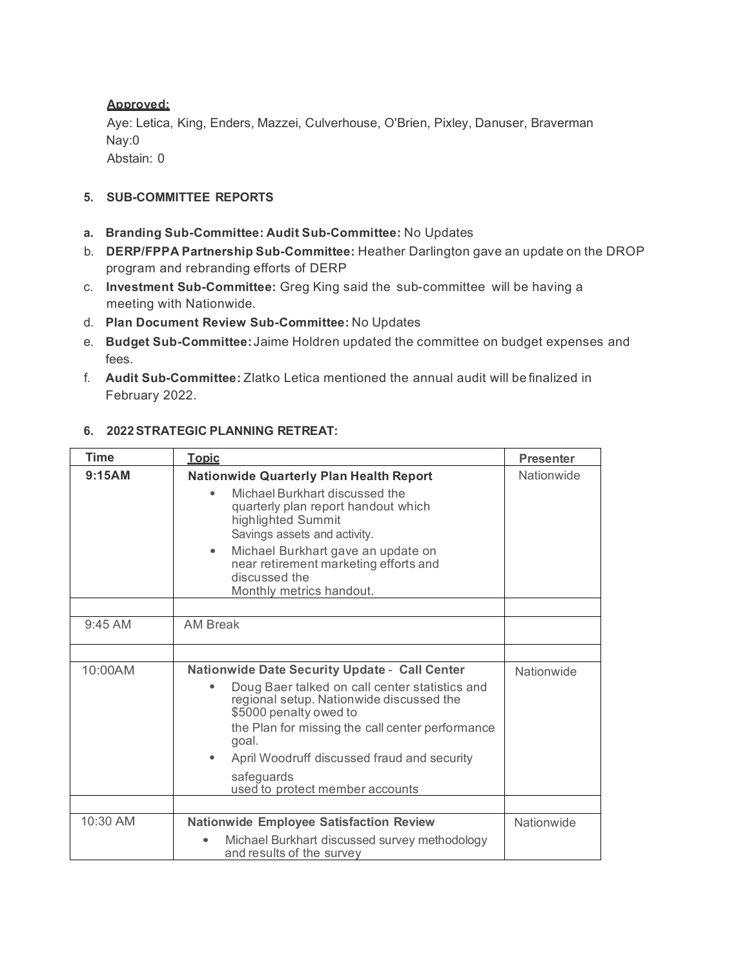# **Approved:**

Aye: Letica, King, Enders, Mazzei, Culverhouse, O'Brien, Pixley, Danuser, Braverman Nay:0 Abstain: 0

# **5. SUB-COMMITTEE REPORTS**

- **a. Branding Sub-Committee: Audit Sub-Committee:** No Updates
- b. **DERP/FPPA Partnership Sub-Committee:** Heather Darlington gave an update on the DROP program and rebranding efforts of DERP
- c. **Investment Sub-Committee:** Greg King said the sub-committee will be having a meeting with Nationwide.
- d. **Plan Document Review Sub-Committee:** No Updates
- e. **Budget Sub-Committee:** Jaime Holdren updated the committee on budget expenses and fees.
- f. **Audit Sub-Committee:** Zlatko Letica mentioned the annual audit will be finalized in February 2022.

# **6. 2022STRATEGIC PLANNING RETREAT:**

| <b>Time</b> | <b>Topic</b>                                                                                                                                                                                                                                                                                                                              | <b>Presenter</b> |
|-------------|-------------------------------------------------------------------------------------------------------------------------------------------------------------------------------------------------------------------------------------------------------------------------------------------------------------------------------------------|------------------|
| 9:15AM      | <b>Nationwide Quarterly Plan Health Report</b><br>Michael Burkhart discussed the<br>quarterly plan report handout which<br>highlighted Summit<br>Savings assets and activity.<br>Michael Burkhart gave an update on<br>$\bullet$                                                                                                          | Nationwide       |
|             | near retirement marketing efforts and<br>discussed the<br>Monthly metrics handout.                                                                                                                                                                                                                                                        |                  |
| $9:45$ AM   | <b>AM Break</b>                                                                                                                                                                                                                                                                                                                           |                  |
|             |                                                                                                                                                                                                                                                                                                                                           |                  |
| 10:00AM     | <b>Nationwide Date Security Update - Call Center</b><br>Doug Baer talked on call center statistics and<br>regional setup. Nationwide discussed the<br>\$5000 penalty owed to<br>the Plan for missing the call center performance<br>goal.<br>April Woodruff discussed fraud and security<br>safeguards<br>used to protect member accounts | Nationwide       |
|             |                                                                                                                                                                                                                                                                                                                                           |                  |
| 10:30 AM    | <b>Nationwide Employee Satisfaction Review</b><br>Michael Burkhart discussed survey methodology<br>and results of the survey                                                                                                                                                                                                              | Nationwide       |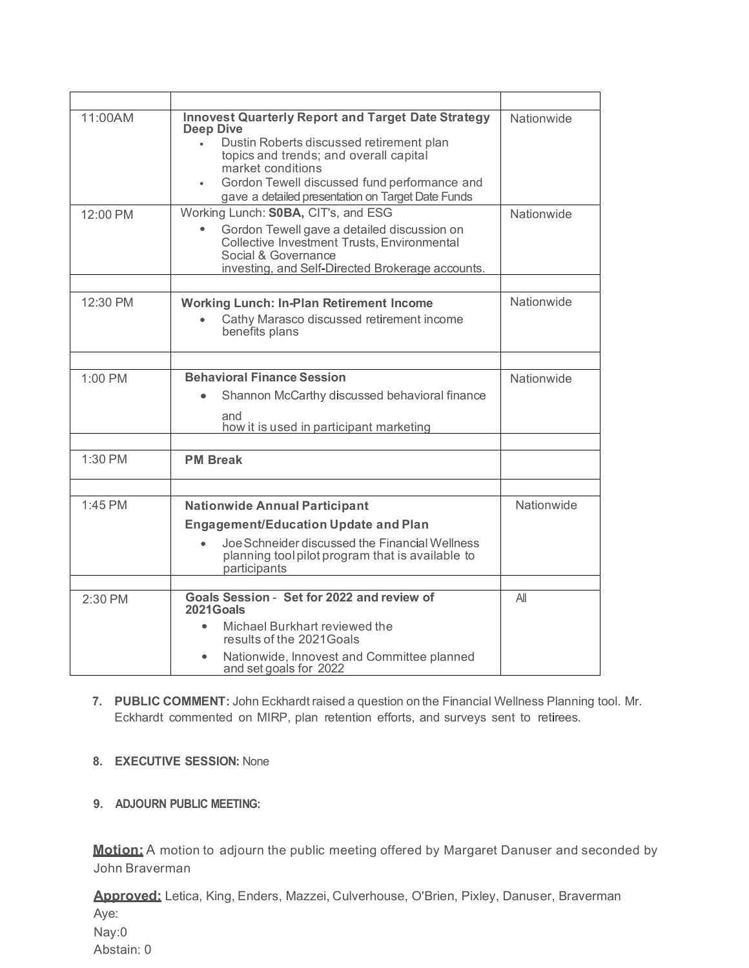| 11:00AM  | <b>Innovest Quarterly Report and Target Date Strategy</b><br><b>Deep Dive</b><br>Dustin Roberts discussed retirement plan<br>$\bullet$<br>topics and trends; and overall capital<br>market conditions<br>Gordon Tewell discussed fund performance and<br>$\bullet$<br>gave a detailed presentation on Target Date Funds | Nationwide |
|----------|-------------------------------------------------------------------------------------------------------------------------------------------------------------------------------------------------------------------------------------------------------------------------------------------------------------------------|------------|
| 12:00 PM | Working Lunch: S0BA, CIT's, and ESG<br>Gordon Tewell gave a detailed discussion on<br>Collective Investment Trusts, Environmental<br>Social & Governance<br>investing, and Self-Directed Brokerage accounts.                                                                                                            | Nationwide |
| 12:30 PM | <b>Working Lunch: In-Plan Retirement Income</b><br>Cathy Marasco discussed retirement income<br>benefits plans                                                                                                                                                                                                          | Nationwide |
| 1:00 PM  | <b>Behavioral Finance Session</b><br>Shannon McCarthy discussed behavioral finance<br>and<br>how it is used in participant marketing                                                                                                                                                                                    | Nationwide |
| 1:30 PM  | <b>PM Break</b>                                                                                                                                                                                                                                                                                                         |            |
| 1:45 PM  | <b>Nationwide Annual Participant</b><br><b>Engagement/Education Update and Plan</b><br>Joe Schneider discussed the Financial Wellness<br>planning tool pilot program that is available to<br>participants                                                                                                               | Nationwide |
| 2:30 PM  | Goals Session - Set for 2022 and review of<br>2021Goals<br>Michael Burkhart reviewed the<br>$\bullet$<br>results of the 2021 Goals<br>Nationwide, Innovest and Committee planned<br>$\bullet$<br>and set goals for 2022                                                                                                 | All        |

- **7. PUBLIC COMMENT:** John Eckhardt raised a question on the Financial Wellness Planning tool. Mr. Eckhardt commented on MIRP, plan retention efforts, and surveys sent to retirees.
- **8. EXECUTIVE SESSION:** None
- **9. ADJOURN PUBLIC MEETING:**

**Motion:** A motion to adjourn the public meeting offered by Margaret Danuser and seconded by John Braverman

**Approved:** Letica, King, Enders, Mazzei, Culverhouse, O'Brien, Pixley, Danuser, Braverman Aye: Nay:0 Abstain: 0